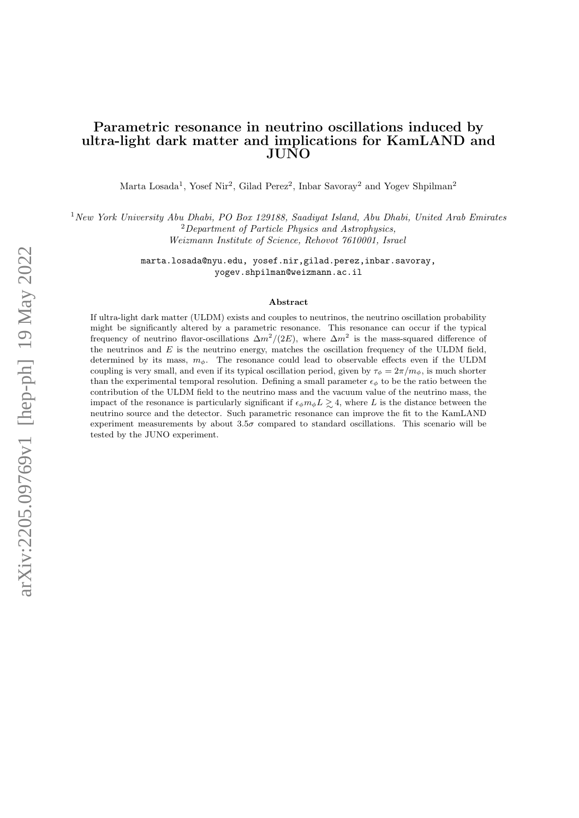## Parametric resonance in neutrino oscillations induced by ultra-light dark matter and implications for KamLAND and JUNO

Marta Losada<sup>1</sup>, Yosef Nir<sup>2</sup>, Gilad Perez<sup>2</sup>, Inbar Savoray<sup>2</sup> and Yogev Shpilman<sup>2</sup>

<sup>1</sup>New York University Abu Dhabi, PO Box 129188, Saadiyat Island, Abu Dhabi, United Arab Emirates <sup>2</sup>Department of Particle Physics and Astrophysics, Weizmann Institute of Science, Rehovot 7610001, Israel

> marta.losada@nyu.edu, yosef.nir,gilad.perez,inbar.savoray, yogev.shpilman@weizmann.ac.il

#### Abstract

If ultra-light dark matter (ULDM) exists and couples to neutrinos, the neutrino oscillation probability might be significantly altered by a parametric resonance. This resonance can occur if the typical frequency of neutrino flavor-oscillations  $\Delta m^2/(2E)$ , where  $\Delta m^2$  is the mass-squared difference of the neutrinos and  $E$  is the neutrino energy, matches the oscillation frequency of the ULDM field, determined by its mass,  $m_{\phi}$ . The resonance could lead to observable effects even if the ULDM coupling is very small, and even if its typical oscillation period, given by  $\tau_{\phi} = 2\pi/m_{\phi}$ , is much shorter than the experimental temporal resolution. Defining a small parameter  $\epsilon_{\phi}$  to be the ratio between the contribution of the ULDM field to the neutrino mass and the vacuum value of the neutrino mass, the impact of the resonance is particularly significant if  $\epsilon_{\phi} m_{\phi} L \gtrsim 4$ , where L is the distance between the neutrino source and the detector. Such parametric resonance can improve the fit to the KamLAND experiment measurements by about  $3.5\sigma$  compared to standard oscillations. This scenario will be tested by the JUNO experiment.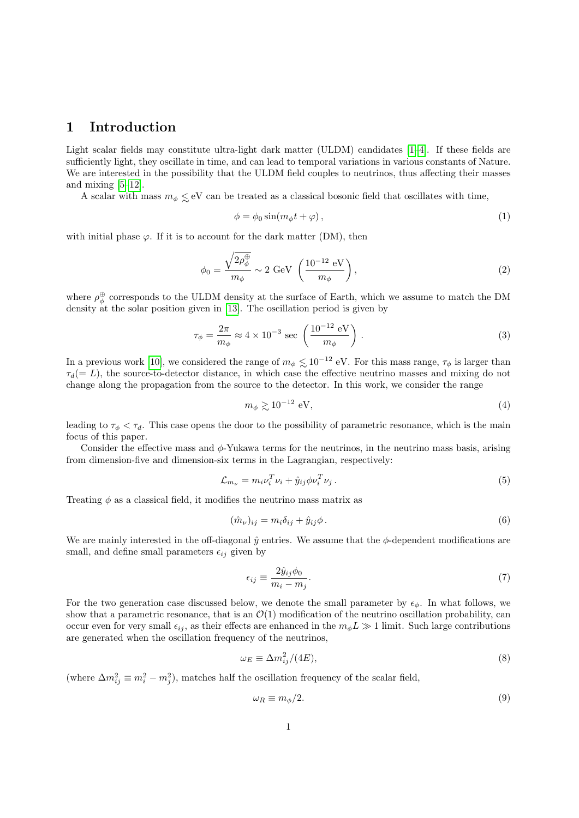## 1 Introduction

Light scalar fields may constitute ultra-light dark matter (ULDM) candidates [\[1–](#page-11-0)[4\]](#page-11-1). If these fields are sufficiently light, they oscillate in time, and can lead to temporal variations in various constants of Nature. We are interested in the possibility that the ULDM field couples to neutrinos, thus affecting their masses and mixing [\[5](#page-11-2)[–12\]](#page-11-3).

A scalar with mass  $m_{\phi} \lesssim eV$  can be treated as a classical bosonic field that oscillates with time,

<span id="page-1-0"></span>
$$
\phi = \phi_0 \sin(m_\phi t + \varphi),\tag{1}
$$

with initial phase  $\varphi$ . If it is to account for the dark matter (DM), then

$$
\phi_0 = \frac{\sqrt{2\rho_\phi^{\oplus}}}{m_\phi} \sim 2 \text{ GeV} \left( \frac{10^{-12} \text{ eV}}{m_\phi} \right),\tag{2}
$$

where  $\rho_{\phi}^{\oplus}$  corresponds to the ULDM density at the surface of Earth, which we assume to match the DM density at the solar position given in [\[13\]](#page-11-4). The oscillation period is given by

$$
\tau_{\phi} = \frac{2\pi}{m_{\phi}} \approx 4 \times 10^{-3} \text{ sec } \left( \frac{10^{-12} \text{ eV}}{m_{\phi}} \right). \tag{3}
$$

In a previous work [\[10\]](#page-11-5), we considered the range of  $m_{\phi} \lesssim 10^{-12}$  eV. For this mass range,  $\tau_{\phi}$  is larger than  $\tau_d (= L)$ , the source-to-detector distance, in which case the effective neutrino masses and mixing do not change along the propagation from the source to the detector. In this work, we consider the range

$$
m_{\phi} \gtrsim 10^{-12} \text{ eV},\tag{4}
$$

leading to  $\tau_{\phi} < \tau_d$ . This case opens the door to the possibility of parametric resonance, which is the main focus of this paper.

Consider the effective mass and  $\phi$ -Yukawa terms for the neutrinos, in the neutrino mass basis, arising from dimension-five and dimension-six terms in the Lagrangian, respectively:

$$
\mathcal{L}_{m_{\nu}} = m_{i} \nu_{i}^{T} \nu_{i} + \hat{y}_{ij} \phi \nu_{i}^{T} \nu_{j} \,. \tag{5}
$$

Treating  $\phi$  as a classical field, it modifies the neutrino mass matrix as

$$
(\hat{m}_{\nu})_{ij} = m_i \delta_{ij} + \hat{y}_{ij} \phi. \tag{6}
$$

We are mainly interested in the off-diagonal  $\hat{y}$  entries. We assume that the  $\phi$ -dependent modifications are small, and define small parameters  $\epsilon_{ij}$  given by

$$
\epsilon_{ij} \equiv \frac{2\hat{y}_{ij}\phi_0}{m_i - m_j}.\tag{7}
$$

For the two generation case discussed below, we denote the small parameter by  $\epsilon_{\phi}$ . In what follows, we show that a parametric resonance, that is an  $\mathcal{O}(1)$  modification of the neutrino oscillation probability, can occur even for very small  $\epsilon_{ij}$ , as their effects are enhanced in the  $m_{\phi}L \gg 1$  limit. Such large contributions are generated when the oscillation frequency of the neutrinos,

$$
\omega_E \equiv \Delta m_{ij}^2 / (4E),\tag{8}
$$

(where  $\Delta m_{ij}^2 \equiv m_i^2 - m_j^2$ ), matches half the oscillation frequency of the scalar field,

$$
\omega_R \equiv m_\phi / 2. \tag{9}
$$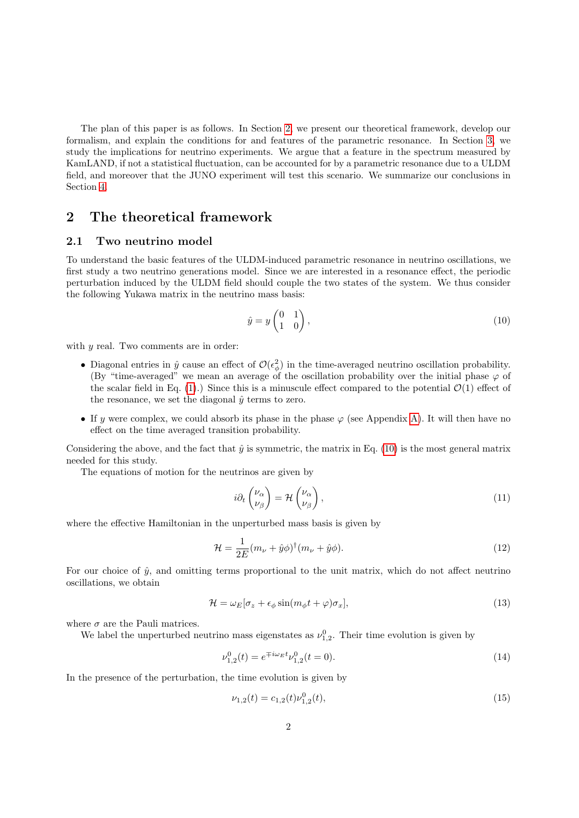The plan of this paper is as follows. In Section [2,](#page-2-0) we present our theoretical framework, develop our formalism, and explain the conditions for and features of the parametric resonance. In Section [3,](#page-6-0) we study the implications for neutrino experiments. We argue that a feature in the spectrum measured by KamLAND, if not a statistical fluctuation, can be accounted for by a parametric resonance due to a ULDM field, and moreover that the JUNO experiment will test this scenario. We summarize our conclusions in Section [4.](#page-10-0)

# <span id="page-2-0"></span>2 The theoretical framework

### 2.1 Two neutrino model

To understand the basic features of the ULDM-induced parametric resonance in neutrino oscillations, we first study a two neutrino generations model. Since we are interested in a resonance effect, the periodic perturbation induced by the ULDM field should couple the two states of the system. We thus consider the following Yukawa matrix in the neutrino mass basis:

<span id="page-2-1"></span>
$$
\hat{y} = y \begin{pmatrix} 0 & 1 \\ 1 & 0 \end{pmatrix},\tag{10}
$$

with  $y$  real. Two comments are in order:

- Diagonal entries in  $\hat{y}$  cause an effect of  $\mathcal{O}(\epsilon_{\phi}^2)$  in the time-averaged neutrino oscillation probability. (By "time-averaged" we mean an average of the oscillation probability over the initial phase  $\varphi$  of the scalar field in Eq. [\(1\)](#page-1-0).) Since this is a minuscule effect compared to the potential  $\mathcal{O}(1)$  effect of the resonance, we set the diagonal  $\hat{y}$  terms to zero.
- If y were complex, we could absorb its phase in the phase  $\varphi$  (see Appendix [A\)](#page-10-1). It will then have no effect on the time averaged transition probability.

Considering the above, and the fact that  $\hat{y}$  is symmetric, the matrix in Eq. [\(10\)](#page-2-1) is the most general matrix needed for this study.

The equations of motion for the neutrinos are given by

$$
i\partial_t \begin{pmatrix} \nu_\alpha \\ \nu_\beta \end{pmatrix} = \mathcal{H} \begin{pmatrix} \nu_\alpha \\ \nu_\beta \end{pmatrix},\tag{11}
$$

where the effective Hamiltonian in the unperturbed mass basis is given by

$$
\mathcal{H} = \frac{1}{2E}(m_{\nu} + \hat{y}\phi)^{\dagger}(m_{\nu} + \hat{y}\phi).
$$
\n(12)

For our choice of  $\hat{y}$ , and omitting terms proportional to the unit matrix, which do not affect neutrino oscillations, we obtain

$$
\mathcal{H} = \omega_E[\sigma_z + \epsilon_\phi \sin(m_\phi t + \varphi)\sigma_x],\tag{13}
$$

where  $\sigma$  are the Pauli matrices.

We label the unperturbed neutrino mass eigenstates as  $\nu_{1,2}^0$ . Their time evolution is given by

<span id="page-2-2"></span>
$$
\nu_{1,2}^0(t) = e^{\mp i\omega_E t} \nu_{1,2}^0(t=0). \tag{14}
$$

In the presence of the perturbation, the time evolution is given by

$$
\nu_{1,2}(t) = c_{1,2}(t)\nu_{1,2}^0(t),\tag{15}
$$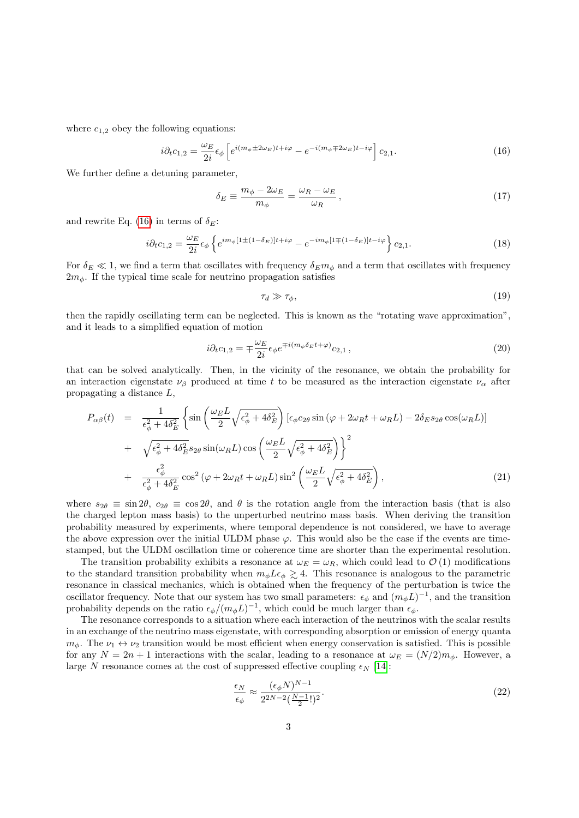where  $c_{1,2}$  obey the following equations:

<span id="page-3-0"></span>
$$
i\partial_t c_{1,2} = \frac{\omega_E}{2i} \epsilon_\phi \left[ e^{i(m_\phi \pm 2\omega_E)t + i\varphi} - e^{-i(m_\phi \mp 2\omega_E)t - i\varphi} \right] c_{2,1}.
$$
 (16)

We further define a detuning parameter,

$$
\delta_E \equiv \frac{m_\phi - 2\omega_E}{m_\phi} = \frac{\omega_R - \omega_E}{\omega_R},\tag{17}
$$

and rewrite Eq. [\(16\)](#page-3-0) in terms of  $\delta_E$ :

$$
i\partial_t c_{1,2} = \frac{\omega_E}{2i} \epsilon_\phi \left\{ e^{im_\phi \left[1 \pm (1 - \delta_E)\right]t + i\varphi} - e^{-im_\phi \left[1 \mp (1 - \delta_E)\right]t - i\varphi} \right\} c_{2,1}.
$$
\n(18)

For  $\delta_E \ll 1$ , we find a term that oscillates with frequency  $\delta_E m_\phi$  and a term that oscillates with frequency  $2m_{\phi}$ . If the typical time scale for neutrino propagation satisfies

$$
\tau_d \gg \tau_\phi,\tag{19}
$$

then the rapidly oscillating term can be neglected. This is known as the "rotating wave approximation", and it leads to a simplified equation of motion

$$
i\partial_t c_{1,2} = \mp \frac{\omega_E}{2i} \epsilon_\phi e^{\mp i(m_\phi \delta_E t + \varphi)} c_{2,1},\tag{20}
$$

that can be solved analytically. Then, in the vicinity of the resonance, we obtain the probability for an interaction eigenstate  $\nu_{\beta}$  produced at time t to be measured as the interaction eigenstate  $\nu_{\alpha}$  after propagating a distance L,

$$
P_{\alpha\beta}(t) = \frac{1}{\epsilon_{\phi}^{2} + 4\delta_{E}^{2}} \left\{ \sin\left(\frac{\omega_{E}L}{2}\sqrt{\epsilon_{\phi}^{2} + 4\delta_{E}^{2}}\right) \left[\epsilon_{\phi}c_{2\theta}\sin\left(\varphi + 2\omega_{R}t + \omega_{R}L\right) - 2\delta_{E}s_{2\theta}\cos(\omega_{R}L)\right] \right.
$$
  
+ 
$$
\sqrt{\epsilon_{\phi}^{2} + 4\delta_{E}^{2}s_{2\theta}\sin(\omega_{R}L)\cos\left(\frac{\omega_{E}L}{2}\sqrt{\epsilon_{\phi}^{2} + 4\delta_{E}^{2}}\right)} \right\}^{2}
$$
  
+ 
$$
\frac{\epsilon_{\phi}^{2}}{\epsilon_{\phi}^{2} + 4\delta_{E}^{2}}\cos^{2}\left(\varphi + 2\omega_{R}t + \omega_{R}L\right)\sin^{2}\left(\frac{\omega_{E}L}{2}\sqrt{\epsilon_{\phi}^{2} + 4\delta_{E}^{2}}\right),
$$
(21)

where  $s_{2\theta} \equiv \sin 2\theta$ ,  $c_{2\theta} \equiv \cos 2\theta$ , and  $\theta$  is the rotation angle from the interaction basis (that is also the charged lepton mass basis) to the unperturbed neutrino mass basis. When deriving the transition probability measured by experiments, where temporal dependence is not considered, we have to average the above expression over the initial ULDM phase  $\varphi$ . This would also be the case if the events are timestamped, but the ULDM oscillation time or coherence time are shorter than the experimental resolution.

The transition probability exhibits a resonance at  $\omega_E = \omega_R$ , which could lead to  $\mathcal{O}(1)$  modifications to the standard transition probability when  $m_{\phi} L \epsilon_{\phi} \gtrsim 4$ . This resonance is analogous to the parametric resonance in classical mechanics, which is obtained when the frequency of the perturbation is twice the oscillator frequency. Note that our system has two small parameters:  $\epsilon_{\phi}$  and  $(m_{\phi}L)^{-1}$ , and the transition probability depends on the ratio  $\epsilon_{\phi}/(m_{\phi}L)^{-1}$ , which could be much larger than  $\epsilon_{\phi}$ .

The resonance corresponds to a situation where each interaction of the neutrinos with the scalar results in an exchange of the neutrino mass eigenstate, with corresponding absorption or emission of energy quanta  $m_{\phi}$ . The  $\nu_1 \leftrightarrow \nu_2$  transition would be most efficient when energy conservation is satisfied. This is possible for any  $N = 2n + 1$  interactions with the scalar, leading to a resonance at  $\omega_E = (N/2)m_\phi$ . However, a large N resonance comes at the cost of suppressed effective coupling  $\epsilon_N$  [\[14\]](#page-12-0):

<span id="page-3-1"></span>
$$
\frac{\epsilon_N}{\epsilon_\phi} \approx \frac{(\epsilon_\phi N)^{N-1}}{2^{2N-2} \left(\frac{N-1}{2}!\right)^2}.\tag{22}
$$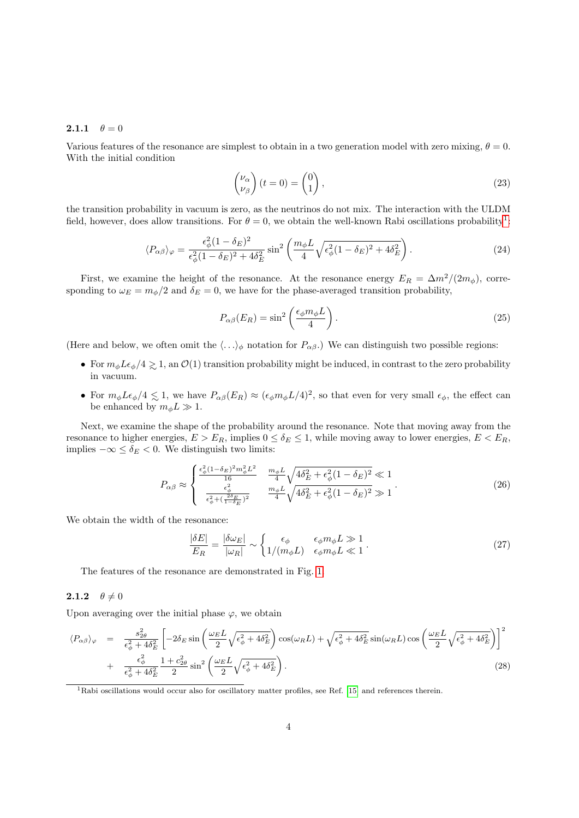#### **2.1.1**  $\theta = 0$

Various features of the resonance are simplest to obtain in a two generation model with zero mixing,  $\theta = 0$ . With the initial condition

$$
\begin{pmatrix} \nu_{\alpha} \\ \nu_{\beta} \end{pmatrix} (t=0) = \begin{pmatrix} 0 \\ 1 \end{pmatrix}, \tag{23}
$$

the transition probability in vacuum is zero, as the neutrinos do not mix. The interaction with the ULDM field, however, does allow transitions. For  $\theta = 0$ , we obtain the well-known Rabi oscillations probability<sup>[1](#page-4-0)</sup>:

$$
\langle P_{\alpha\beta} \rangle_{\varphi} = \frac{\epsilon_{\phi}^2 (1 - \delta_E)^2}{\epsilon_{\phi}^2 (1 - \delta_E)^2 + 4\delta_E^2} \sin^2 \left( \frac{m_{\phi} L}{4} \sqrt{\epsilon_{\phi}^2 (1 - \delta_E)^2 + 4\delta_E^2} \right). \tag{24}
$$

First, we examine the height of the resonance. At the resonance energy  $E_R = \Delta m^2/(2m_\phi)$ , corresponding to  $\omega_E = m_\phi/2$  and  $\delta_E = 0$ , we have for the phase-averaged transition probability,

$$
P_{\alpha\beta}(E_R) = \sin^2\left(\frac{\epsilon_{\phi} m_{\phi} L}{4}\right). \tag{25}
$$

(Here and below, we often omit the  $\langle \ldots \rangle_{\phi}$  notation for  $P_{\alpha\beta}$ .) We can distinguish two possible regions:

- For  $m_{\phi}L\epsilon_{\phi}/4 \gtrsim 1$ , an  $\mathcal{O}(1)$  transition probability might be induced, in contrast to the zero probability in vacuum.
- For  $m_{\phi}L\epsilon_{\phi}/4 \lesssim 1$ , we have  $P_{\alpha\beta}(E_R) \approx (\epsilon_{\phi}m_{\phi}L/4)^2$ , so that even for very small  $\epsilon_{\phi}$ , the effect can be enhanced by  $m_{\phi}L \gg 1$ .

Next, we examine the shape of the probability around the resonance. Note that moving away from the resonance to higher energies,  $E > E_R$ , implies  $0 \le \delta_E \le 1$ , while moving away to lower energies,  $E < E_R$ , implies  $-\infty \leq \delta_E$  < 0. We distinguish two limits:

$$
P_{\alpha\beta} \approx \begin{cases} \frac{\epsilon_{\phi}^{2}(1-\delta_{E})^{2}m_{\phi}^{2}L^{2}}{16} & \frac{m_{\phi}L}{4}\sqrt{4\delta_{E}^{2}+\epsilon_{\phi}^{2}(1-\delta_{E})^{2}} \ll 1\\ \frac{\epsilon_{\phi}^{2}}{\epsilon_{\phi}^{2}+(\frac{2\delta_{E}}{1-\delta_{E}})^{2}} & \frac{m_{\phi}L}{4}\sqrt{4\delta_{E}^{2}+\epsilon_{\phi}^{2}(1-\delta_{E})^{2}} \gg 1 \end{cases} \tag{26}
$$

We obtain the width of the resonance:

$$
\frac{|\delta E|}{E_R} = \frac{|\delta \omega_E|}{|\omega_R|} \sim \begin{cases} \epsilon_{\phi} & \epsilon_{\phi} m_{\phi} L \gg 1\\ 1/(m_{\phi} L) & \epsilon_{\phi} m_{\phi} L \ll 1 \end{cases}.
$$
\n(27)

The features of the resonance are demonstrated in Fig. [1.](#page-5-0)

### 2.1.2  $\theta \neq 0$

Upon averaging over the initial phase  $\varphi$ , we obtain

$$
\langle P_{\alpha\beta} \rangle_{\varphi} = \frac{s_{2\theta}^2}{\epsilon_{\phi}^2 + 4\delta_E^2} \left[ -2\delta_E \sin\left(\frac{\omega_E L}{2} \sqrt{\epsilon_{\phi}^2 + 4\delta_E^2}\right) \cos(\omega_R L) + \sqrt{\epsilon_{\phi}^2 + 4\delta_E^2} \sin(\omega_R L) \cos\left(\frac{\omega_E L}{2} \sqrt{\epsilon_{\phi}^2 + 4\delta_E^2}\right) \right]^2
$$
  
+ 
$$
\frac{\epsilon_{\phi}^2}{\epsilon_{\phi}^2 + 4\delta_E^2} \frac{1 + c_{2\theta}^2}{2} \sin^2\left(\frac{\omega_E L}{2} \sqrt{\epsilon_{\phi}^2 + 4\delta_E^2}\right).
$$
(28)

<span id="page-4-0"></span><sup>1</sup>Rabi oscillations would occur also for oscillatory matter profiles, see Ref. [\[15\]](#page-12-1) and references therein.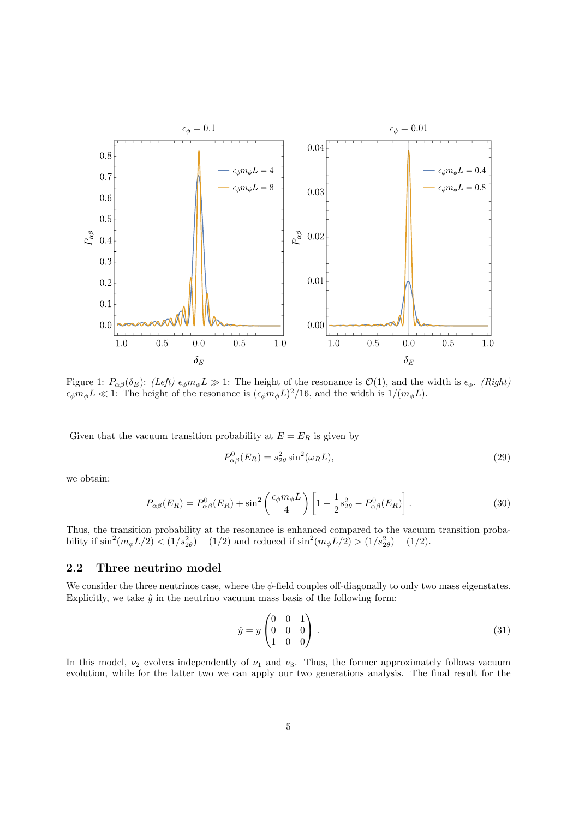<span id="page-5-0"></span>

Figure 1:  $P_{\alpha\beta}(\delta_E)$ : (Left)  $\epsilon_{\phi}m_{\phi}L \gg 1$ : The height of the resonance is  $\mathcal{O}(1)$ , and the width is  $\epsilon_{\phi}$ . (Right)  $\epsilon_{\phi} m_{\phi} L \ll 1$ : The height of the resonance is  $(\epsilon_{\phi} m_{\phi} L)^2/16$ , and the width is  $1/(m_{\phi} L)$ .

Given that the vacuum transition probability at  $E = E_R$  is given by

$$
P_{\alpha\beta}^0(E_R) = s_{2\theta}^2 \sin^2(\omega_R L),\tag{29}
$$

we obtain:

$$
P_{\alpha\beta}(E_R) = P_{\alpha\beta}^0(E_R) + \sin^2\left(\frac{\epsilon_\phi m_\phi L}{4}\right) \left[1 - \frac{1}{2}s_{2\theta}^2 - P_{\alpha\beta}^0(E_R)\right].\tag{30}
$$

Thus, the transition probability at the resonance is enhanced compared to the vacuum transition probability if  $\sin^2(m_\phi L/2) < (1/s_{2\theta}^2) - (1/2)$  and reduced if  $\sin^2(m_\phi L/2) > (1/s_{2\theta}^2) - (1/2)$ .

### 2.2 Three neutrino model

We consider the three neutrinos case, where the  $\phi$ -field couples off-diagonally to only two mass eigenstates. Explicitly, we take  $\hat{y}$  in the neutrino vacuum mass basis of the following form:

<span id="page-5-1"></span>
$$
\hat{y} = y \begin{pmatrix} 0 & 0 & 1 \\ 0 & 0 & 0 \\ 1 & 0 & 0 \end{pmatrix} . \tag{31}
$$

In this model,  $\nu_2$  evolves independently of  $\nu_1$  and  $\nu_3$ . Thus, the former approximately follows vacuum evolution, while for the latter two we can apply our two generations analysis. The final result for the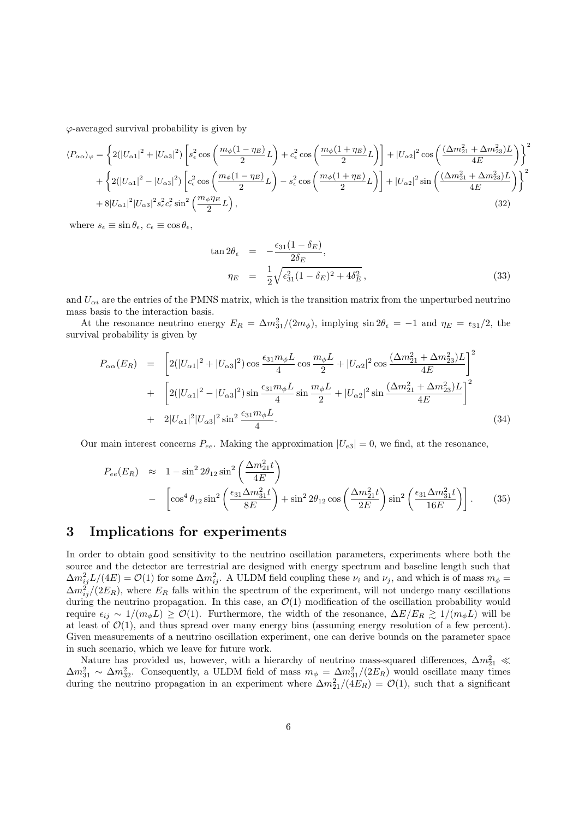$\varphi$ -averaged survival probability is given by

$$
\langle P_{\alpha\alpha}\rangle_{\varphi} = \left\{ 2(|U_{\alpha1}|^2 + |U_{\alpha3}|^2) \left[ s_{\epsilon}^2 \cos\left(\frac{m_{\phi}(1-\eta_E)}{2}L\right) + c_{\epsilon}^2 \cos\left(\frac{m_{\phi}(1+\eta_E)}{2}L\right) \right] + |U_{\alpha2}|^2 \cos\left(\frac{(\Delta m_{21}^2 + \Delta m_{23}^2)L}{4E}\right) \right\}^2
$$
  
+ 
$$
\left\{ 2(|U_{\alpha1}|^2 - |U_{\alpha3}|^2) \left[ c_{\epsilon}^2 \cos\left(\frac{m_{\phi}(1-\eta_E)}{2}L\right) - s_{\epsilon}^2 \cos\left(\frac{m_{\phi}(1+\eta_E)}{2}L\right) \right] + |U_{\alpha2}|^2 \sin\left(\frac{(\Delta m_{21}^2 + \Delta m_{23}^2)L}{4E}\right) \right\}^2
$$
  
+ 
$$
8|U_{\alpha1}|^2|U_{\alpha3}|^2 s_{\epsilon}^2 c_{\epsilon}^2 \sin^2\left(\frac{m_{\phi}\eta_E}{2}L\right),
$$
(32)

where  $s_{\epsilon} \equiv \sin \theta_{\epsilon}, c_{\epsilon} \equiv \cos \theta_{\epsilon}$ ,

$$
\tan 2\theta_{\epsilon} = -\frac{\epsilon_{31}(1-\delta_E)}{2\delta_E},
$$
\n
$$
\eta_E = \frac{1}{2}\sqrt{\epsilon_{31}^2(1-\delta_E)^2 + 4\delta_E^2},
$$
\n(33)

and  $U_{\alpha i}$  are the entries of the PMNS matrix, which is the transition matrix from the unperturbed neutrino mass basis to the interaction basis.

At the resonance neutrino energy  $E_R = \Delta m_{31}^2/(2m_\phi)$ , implying  $\sin 2\theta_\epsilon = -1$  and  $\eta_E = \epsilon_{31}/2$ , the survival probability is given by

$$
P_{\alpha\alpha}(E_R) = \left[2(|U_{\alpha 1}|^2 + |U_{\alpha 3}|^2)\cos\frac{\epsilon_{31}m_{\phi}L}{4}\cos\frac{m_{\phi}L}{2} + |U_{\alpha 2}|^2\cos\frac{(\Delta m_{21}^2 + \Delta m_{23}^2)L}{4E}\right]^2
$$
  
+ 
$$
\left[2(|U_{\alpha 1}|^2 - |U_{\alpha 3}|^2)\sin\frac{\epsilon_{31}m_{\phi}L}{4}\sin\frac{m_{\phi}L}{2} + |U_{\alpha 2}|^2\sin\frac{(\Delta m_{21}^2 + \Delta m_{23}^2)L}{4E}\right]^2
$$
  
+ 
$$
2|U_{\alpha 1}|^2|U_{\alpha 3}|^2\sin^2\frac{\epsilon_{31}m_{\phi}L}{4}.
$$
 (34)

Our main interest concerns  $P_{ee}$ . Making the approximation  $|U_{e3}| = 0$ , we find, at the resonance,

$$
P_{ee}(E_R) \approx 1 - \sin^2 2\theta_{12} \sin^2 \left(\frac{\Delta m_{21}^2 t}{4E}\right)
$$
  
- 
$$
\left[\cos^4 \theta_{12} \sin^2 \left(\frac{\epsilon_{31} \Delta m_{31}^2 t}{8E}\right) + \sin^2 2\theta_{12} \cos \left(\frac{\Delta m_{21}^2 t}{2E}\right) \sin^2 \left(\frac{\epsilon_{31} \Delta m_{31}^2 t}{16E}\right)\right].
$$
 (35)

## <span id="page-6-0"></span>3 Implications for experiments

In order to obtain good sensitivity to the neutrino oscillation parameters, experiments where both the source and the detector are terrestrial are designed with energy spectrum and baseline length such that  $\Delta m_{ij}^2 L/(4E) = \mathcal{O}(1)$  for some  $\Delta m_{ij}^2$ . A ULDM field coupling these  $\nu_i$  and  $\nu_j$ , and which is of mass  $m_\phi =$  $\Delta m_{ij}^2/(2E_R)$ , where  $E_R$  falls within the spectrum of the experiment, will not undergo many oscillations during the neutrino propagation. In this case, an  $\mathcal{O}(1)$  modification of the oscillation probability would require  $\epsilon_{ij} \sim 1/(m_{\phi}L) \geq \mathcal{O}(1)$ . Furthermore, the width of the resonance,  $\Delta E/E_R \gtrsim 1/(m_{\phi}L)$  will be at least of  $\mathcal{O}(1)$ , and thus spread over many energy bins (assuming energy resolution of a few percent). Given measurements of a neutrino oscillation experiment, one can derive bounds on the parameter space in such scenario, which we leave for future work.

Nature has provided us, however, with a hierarchy of neutrino mass-squared differences,  $\Delta m_{21}^2 \ll$  $\Delta m_{31}^2 \sim \Delta m_{32}^2$ . Consequently, a ULDM field of mass  $m_\phi = \Delta m_{31}^2/(2E_R)$  would oscillate many times during the neutrino propagation in an experiment where  $\Delta m_{21}^2/(4E_R) = \mathcal{O}(1)$ , such that a significant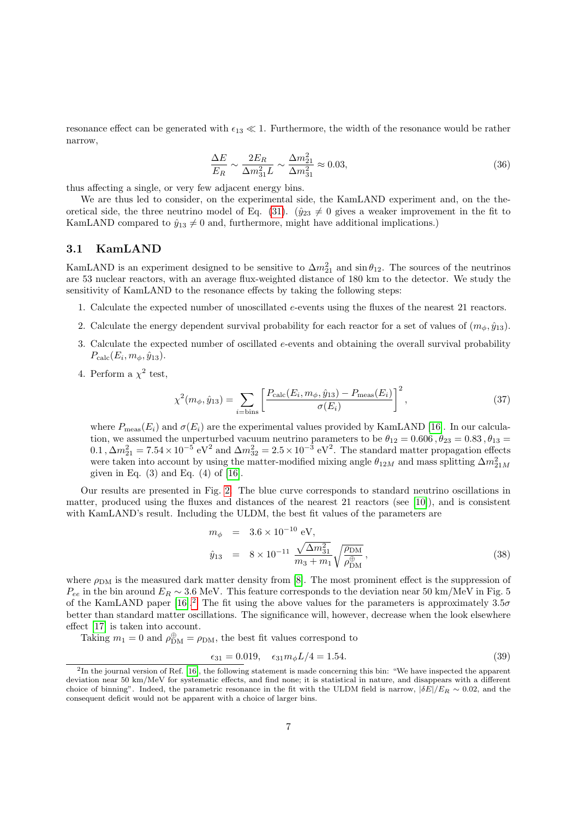resonance effect can be generated with  $\epsilon_{13} \ll 1$ . Furthermore, the width of the resonance would be rather narrow,

$$
\frac{\Delta E}{E_R} \sim \frac{2E_R}{\Delta m_{31}^2 L} \sim \frac{\Delta m_{21}^2}{\Delta m_{31}^2} \approx 0.03,\tag{36}
$$

thus affecting a single, or very few adjacent energy bins.

We are thus led to consider, on the experimental side, the KamLAND experiment and, on the the-oretical side, the three neutrino model of Eq. [\(31\)](#page-5-1). ( $\hat{y}_{23} \neq 0$  gives a weaker improvement in the fit to KamLAND compared to  $\hat{y}_{13} \neq 0$  and, furthermore, might have additional implications.)

### 3.1 KamLAND

KamLAND is an experiment designed to be sensitive to  $\Delta m_{21}^2$  and  $\sin \theta_{12}$ . The sources of the neutrinos are 53 nuclear reactors, with an average flux-weighted distance of 180 km to the detector. We study the sensitivity of KamLAND to the resonance effects by taking the following steps:

- 1. Calculate the expected number of unoscillated e-events using the fluxes of the nearest 21 reactors.
- 2. Calculate the energy dependent survival probability for each reactor for a set of values of  $(m_{\phi}, \hat{y}_{13})$ .
- 3. Calculate the expected number of oscillated  $e$ -events and obtaining the overall survival probability  $P_{\rm calc}(E_i, m_{\phi}, \hat{y}_{13}).$
- 4. Perform a  $\chi^2$  test,

$$
\chi^2(m_{\phi}, \hat{y}_{13}) = \sum_{i=\text{bins}} \left[ \frac{P_{\text{calc}}(E_i, m_{\phi}, \hat{y}_{13}) - P_{\text{meas}}(E_i)}{\sigma(E_i)} \right]^2, \tag{37}
$$

where  $P_{\text{meas}}(E_i)$  and  $\sigma(E_i)$  are the experimental values provided by KamLAND [\[16\]](#page-12-2). In our calculation, we assumed the unperturbed vacuum neutrino parameters to be  $\theta_{12} = 0.606$ ,  $\theta_{23} = 0.83$ ,  $\theta_{13} =$ 0.1,  $\Delta m_{21}^2 = 7.54 \times 10^{-5}$  eV<sup>2</sup> and  $\Delta m_{32}^2 = 2.5 \times 10^{-3}$  eV<sup>2</sup>. The standard matter propagation effects were taken into account by using the matter-modified mixing angle  $\theta_{12M}$  and mass splitting  $\Delta m^2_{21M}$ given in Eq.  $(3)$  and Eq.  $(4)$  of [\[16\]](#page-12-2).

Our results are presented in Fig. [2.](#page-8-0) The blue curve corresponds to standard neutrino oscillations in matter, produced using the fluxes and distances of the nearest 21 reactors (see [\[10\]](#page-11-5)), and is consistent with KamLAND's result. Including the ULDM, the best fit values of the parameters are

<span id="page-7-1"></span>
$$
m_{\phi} = 3.6 \times 10^{-10} \text{ eV},
$$
  
\n
$$
\hat{y}_{13} = 8 \times 10^{-11} \frac{\sqrt{\Delta m_{31}^2}}{m_3 + m_1} \sqrt{\frac{\rho_{\text{DM}}}{\rho_{\text{DM}}^{\oplus}}},
$$
\n(38)

where  $\rho_{DM}$  is the measured dark matter density from [\[8\]](#page-11-6). The most prominent effect is the suppression of  $P_{ee}$  in the bin around  $E_R \sim 3.6$  MeV. This feature corresponds to the deviation near 50 km/MeV in Fig. 5 of the KamLAND paper [\[16\]](#page-12-2).<sup>[2](#page-7-0)</sup> The fit using the above values for the parameters is approximately  $3.5\sigma$ better than standard matter oscillations. The significance will, however, decrease when the look elsewhere effect [\[17\]](#page-12-3) is taken into account.

Taking  $m_1 = 0$  and  $\rho_{\rm DM}^{\oplus} = \rho_{\rm DM}$ , the best fit values correspond to

$$
\epsilon_{31} = 0.019, \quad \epsilon_{31} m_{\phi} L/4 = 1.54. \tag{39}
$$

<span id="page-7-0"></span> $^{2}$ In the journal version of Ref. [\[16\]](#page-12-2), the following statement is made concerning this bin: "We have inspected the apparent deviation near 50 km/MeV for systematic effects, and find none; it is statistical in nature, and disappears with a different choice of binning". Indeed, the parametric resonance in the fit with the ULDM field is narrow,  $|\delta E|/E_R \sim 0.02$ , and the consequent deficit would not be apparent with a choice of larger bins.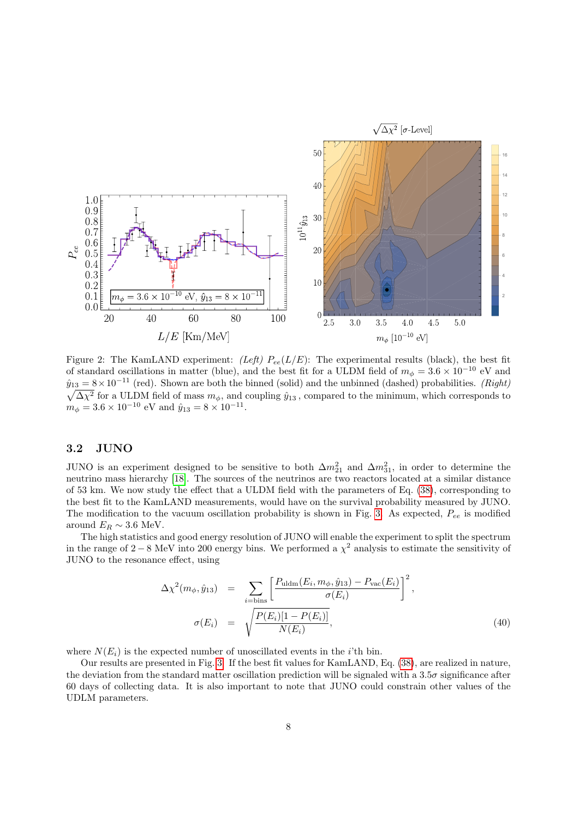<span id="page-8-0"></span>

Figure 2: The KamLAND experiment: (Left)  $P_{ee}(L/E)$ : The experimental results (black), the best fit of standard oscillations in matter (blue), and the best fit for a ULDM field of  $m_{\phi} = 3.6 \times 10^{-10}$  eV and  $\hat{y}_{13} = 8 \times 10^{-11}$  (red). Shown are both the binned (solid) and the unbinned (dashed) probabilities. (*Right*)  $\sqrt{\Delta\chi^2}$  for a ULDM field of mass  $m_\phi$ , and coupling  $\hat{y}_{13}$ , compared to the minimum, which corresponds to  $m_{\phi} = 3.6 \times 10^{-10}$  eV and  $\hat{y}_{13} = 8 \times 10^{-11}$ .

### 3.2 JUNO

JUNO is an experiment designed to be sensitive to both  $\Delta m_{21}^2$  and  $\Delta m_{31}^2$ , in order to determine the neutrino mass hierarchy [\[18\]](#page-12-4). The sources of the neutrinos are two reactors located at a similar distance of 53 km. We now study the effect that a ULDM field with the parameters of Eq. [\(38\)](#page-7-1), corresponding to the best fit to the KamLAND measurements, would have on the survival probability measured by JUNO. The modification to the vacuum oscillation probability is shown in Fig. [3.](#page-9-0) As expected,  $P_{ee}$  is modified around  $E_R \sim 3.6$  MeV.

The high statistics and good energy resolution of JUNO will enable the experiment to split the spectrum in the range of 2 − 8 MeV into 200 energy bins. We performed a  $\chi^2$  analysis to estimate the sensitivity of JUNO to the resonance effect, using

$$
\Delta \chi^2(m_\phi, \hat{y}_{13}) = \sum_{i=\text{bins}} \left[ \frac{P_{\text{uldm}}(E_i, m_\phi, \hat{y}_{13}) - P_{\text{vac}}(E_i)}{\sigma(E_i)} \right]^2,
$$
  

$$
\sigma(E_i) = \sqrt{\frac{P(E_i)[1 - P(E_i)]}{N(E_i)}}, \tag{40}
$$

where  $N(E_i)$  is the expected number of unoscillated events in the *i*'th bin.

Our results are presented in Fig. [3.](#page-9-0) If the best fit values for KamLAND, Eq. [\(38\)](#page-7-1), are realized in nature, the deviation from the standard matter oscillation prediction will be signaled with a  $3.5\sigma$  significance after 60 days of collecting data. It is also important to note that JUNO could constrain other values of the UDLM parameters.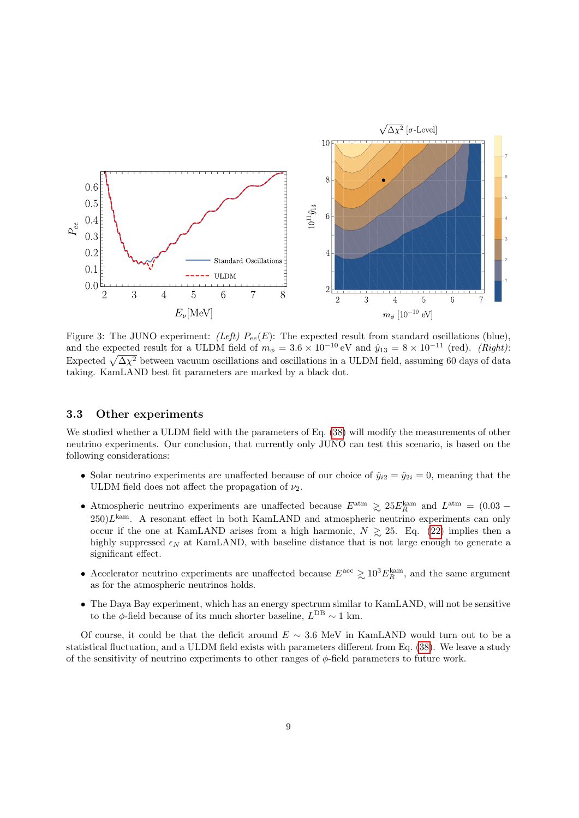<span id="page-9-0"></span>

Figure 3: The JUNO experiment: (Left)  $P_{ee}(E)$ : The expected result from standard oscillations (blue), and the expected result for a ULDM field of  $m_{\phi} = 3.6 \times 10^{-10} \text{ eV}$  and  $\hat{y}_{13} = 8 \times 10^{-11}$  (red). (Right): Expected  $\sqrt{\Delta\chi^2}$  between vacuum oscillations and oscillations in a ULDM field, assuming 60 days of data taking. KamLAND best fit parameters are marked by a black dot.

### 3.3 Other experiments

We studied whether a ULDM field with the parameters of Eq.  $(38)$  will modify the measurements of other neutrino experiments. Our conclusion, that currently only JUNO can test this scenario, is based on the following considerations:

- Solar neutrino experiments are unaffected because of our choice of  $\hat{y}_{i2} = \hat{y}_{2i} = 0$ , meaning that the ULDM field does not affect the propagation of  $\nu_2$ .
- Atmospheric neutrino experiments are unaffected because  $E^{\text{atm}} \gtrsim 25 E_R^{\text{kam}}$  and  $L^{\text{atm}} = (0.03 250)L<sup>kan</sup>$ . A resonant effect in both KamLAND and atmospheric neutrino experiments can only occur if the one at KamLAND arises from a high harmonic,  $N \ge 25$ . Eq. [\(22\)](#page-3-1) implies then a highly suppressed  $\epsilon_N$  at KamLAND, with baseline distance that is not large enough to generate a significant effect.
- Accelerator neutrino experiments are unaffected because  $E^{\text{acc}} \gtrsim 10^3 E_R^{\text{kam}}$ , and the same argument as for the atmospheric neutrinos holds.
- The Daya Bay experiment, which has an energy spectrum similar to KamLAND, will not be sensitive to the  $\phi$ -field because of its much shorter baseline,  $L^{DB} \sim 1$  km.

Of course, it could be that the deficit around  $E \sim 3.6$  MeV in KamLAND would turn out to be a statistical fluctuation, and a ULDM field exists with parameters different from Eq. [\(38\)](#page-7-1). We leave a study of the sensitivity of neutrino experiments to other ranges of  $\phi$ -field parameters to future work.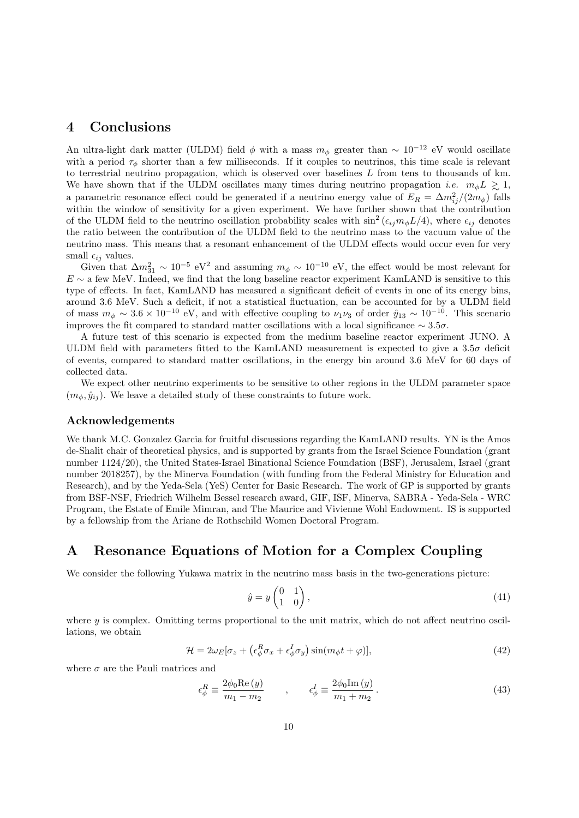## <span id="page-10-0"></span>4 Conclusions

An ultra-light dark matter (ULDM) field  $\phi$  with a mass  $m_{\phi}$  greater than ~ 10<sup>-12</sup> eV would oscillate with a period  $\tau_{\phi}$  shorter than a few milliseconds. If it couples to neutrinos, this time scale is relevant to terrestrial neutrino propagation, which is observed over baselines  $L$  from tens to thousands of km. We have shown that if the ULDM oscillates many times during neutrino propagation *i.e.*  $m_{\phi}L \geq 1$ , a parametric resonance effect could be generated if a neutrino energy value of  $E_R = \Delta m_{ij}^2/(2m_\phi)$  falls within the window of sensitivity for a given experiment. We have further shown that the contribution of the ULDM field to the neutrino oscillation probability scales with  $\sin^2(\epsilon_{ij}m_{\phi}L/4)$ , where  $\epsilon_{ij}$  denotes the ratio between the contribution of the ULDM field to the neutrino mass to the vacuum value of the neutrino mass. This means that a resonant enhancement of the ULDM effects would occur even for very small  $\epsilon_{ij}$  values.

Given that  $\Delta m_{31}^2 \sim 10^{-5} \text{ eV}^2$  and assuming  $m_{\phi} \sim 10^{-10} \text{ eV}$ , the effect would be most relevant for  $E \sim$  a few MeV. Indeed, we find that the long baseline reactor experiment KamLAND is sensitive to this type of effects. In fact, KamLAND has measured a significant deficit of events in one of its energy bins, around 3.6 MeV. Such a deficit, if not a statistical fluctuation, can be accounted for by a ULDM field of mass  $m_{\phi} \sim 3.6 \times 10^{-10}$  eV, and with effective coupling to  $\nu_1 \nu_3$  of order  $\hat{y}_{13} \sim 10^{-10}$ . This scenario improves the fit compared to standard matter oscillations with a local significance  $\sim 3.5\sigma$ .

A future test of this scenario is expected from the medium baseline reactor experiment JUNO. A ULDM field with parameters fitted to the KamLAND measurement is expected to give a 3.5σ deficit of events, compared to standard matter oscillations, in the energy bin around 3.6 MeV for 60 days of collected data.

We expect other neutrino experiments to be sensitive to other regions in the ULDM parameter space  $(m_{\phi}, \hat{y}_{ij})$ . We leave a detailed study of these constraints to future work.

### Acknowledgements

We thank M.C. Gonzalez Garcia for fruitful discussions regarding the KamLAND results. YN is the Amos de-Shalit chair of theoretical physics, and is supported by grants from the Israel Science Foundation (grant number 1124/20), the United States-Israel Binational Science Foundation (BSF), Jerusalem, Israel (grant number 2018257), by the Minerva Foundation (with funding from the Federal Ministry for Education and Research), and by the Yeda-Sela (YeS) Center for Basic Research. The work of GP is supported by grants from BSF-NSF, Friedrich Wilhelm Bessel research award, GIF, ISF, Minerva, SABRA - Yeda-Sela - WRC Program, the Estate of Emile Mimran, and The Maurice and Vivienne Wohl Endowment. IS is supported by a fellowship from the Ariane de Rothschild Women Doctoral Program.

## <span id="page-10-1"></span>A Resonance Equations of Motion for a Complex Coupling

We consider the following Yukawa matrix in the neutrino mass basis in the two-generations picture:

$$
\hat{y} = y \begin{pmatrix} 0 & 1 \\ 1 & 0 \end{pmatrix},\tag{41}
$$

where  $y$  is complex. Omitting terms proportional to the unit matrix, which do not affect neutrino oscillations, we obtain

$$
\mathcal{H} = 2\omega_E[\sigma_z + (\epsilon_\phi^R \sigma_x + \epsilon_\phi^I \sigma_y)\sin(m_\phi t + \varphi)],\tag{42}
$$

where  $\sigma$  are the Pauli matrices and

$$
\epsilon_{\phi}^{R} \equiv \frac{2\phi_0 \text{Re}(y)}{m_1 - m_2} \qquad , \qquad \epsilon_{\phi}^{I} \equiv \frac{2\phi_0 \text{Im}(y)}{m_1 + m_2} \,. \tag{43}
$$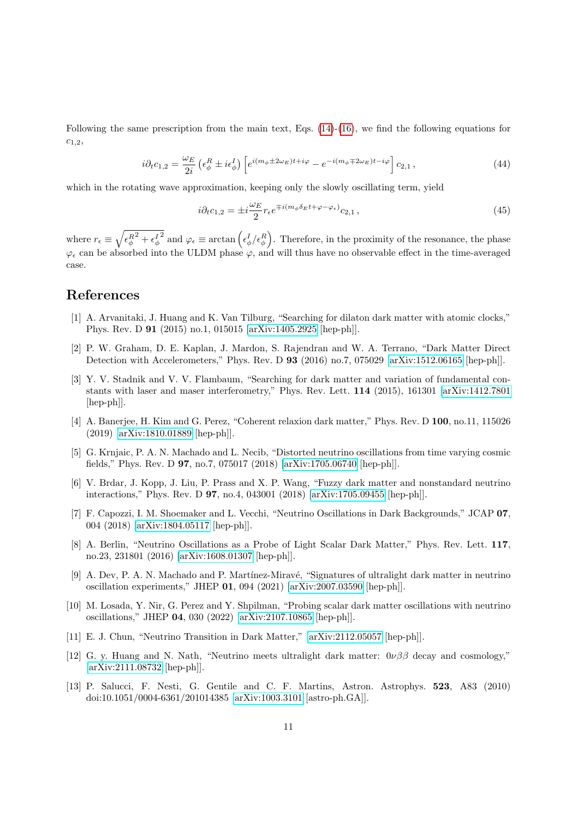Following the same prescription from the main text, Eqs.  $(14)-(16)$  $(14)-(16)$  $(14)-(16)$ , we find the following equations for  $c_{1,2}$ 

$$
i\partial_t c_{1,2} = \frac{\omega_E}{2i} \left( \epsilon_\phi^R \pm i \epsilon_\phi^I \right) \left[ e^{i(m_\phi \pm 2\omega_E)t + i\varphi} - e^{-i(m_\phi \mp 2\omega_E)t - i\varphi} \right] c_{2,1},\tag{44}
$$

which in the rotating wave approximation, keeping only the slowly oscillating term, yield

$$
i\partial_t c_{1,2} = \pm i \frac{\omega_E}{2} r_\epsilon e^{\mp i(m_\phi \delta_E t + \varphi - \varphi_\epsilon)} c_{2,1},\tag{45}
$$

where  $r_{\epsilon} \equiv \sqrt{\epsilon_{\phi}^{R}^{2} + \epsilon_{\phi}^{I}}$ <sup>2</sup> and  $\varphi_{\epsilon} \equiv \arctan\left(\epsilon_{\phi}^I/\epsilon_{\phi}^R\right)$ . Therefore, in the proximity of the resonance, the phase  $\varphi_{\epsilon}$  can be absorbed into the ULDM phase  $\varphi$ , and will thus have no observable effect in the time-averaged case.

# References

- <span id="page-11-0"></span>[1] A. Arvanitaki, J. Huang and K. Van Tilburg, "Searching for dilaton dark matter with atomic clocks," Phys. Rev. D 91 (2015) no.1, 015015 [\[arXiv:1405.2925](http://arxiv.org/abs/1405.2925) [hep-ph]].
- [2] P. W. Graham, D. E. Kaplan, J. Mardon, S. Rajendran and W. A. Terrano, "Dark Matter Direct Detection with Accelerometers," Phys. Rev. D 93 (2016) no.7, 075029 [\[arXiv:1512.06165](http://arxiv.org/abs/1512.06165) [hep-ph]].
- [3] Y. V. Stadnik and V. V. Flambaum, "Searching for dark matter and variation of fundamental constants with laser and maser interferometry," Phys. Rev. Lett. 114 (2015), 161301 [\[arXiv:1412.7801](http://arxiv.org/abs/1412.7801) [hep-ph]].
- <span id="page-11-1"></span>[4] A. Banerjee, H. Kim and G. Perez, "Coherent relaxion dark matter," Phys. Rev. D 100, no.11, 115026 (2019) [\[arXiv:1810.01889](http://arxiv.org/abs/1810.01889) [hep-ph]].
- <span id="page-11-2"></span>[5] G. Krnjaic, P. A. N. Machado and L. Necib, "Distorted neutrino oscillations from time varying cosmic fields," Phys. Rev. D 97, no.7, 075017 (2018) [\[arXiv:1705.06740](http://arxiv.org/abs/1705.06740) [hep-ph]].
- [6] V. Brdar, J. Kopp, J. Liu, P. Prass and X. P. Wang, "Fuzzy dark matter and nonstandard neutrino interactions," Phys. Rev. D 97, no.4, 043001 (2018) [\[arXiv:1705.09455](http://arxiv.org/abs/1705.09455) [hep-ph]].
- [7] F. Capozzi, I. M. Shoemaker and L. Vecchi, "Neutrino Oscillations in Dark Backgrounds," JCAP 07, 004 (2018) [\[arXiv:1804.05117](http://arxiv.org/abs/1804.05117) [hep-ph]].
- <span id="page-11-6"></span>[8] A. Berlin, "Neutrino Oscillations as a Probe of Light Scalar Dark Matter," Phys. Rev. Lett. 117, no.23, 231801 (2016) [\[arXiv:1608.01307](http://arxiv.org/abs/1608.01307) [hep-ph]].
- [9] A. Dev, P. A. N. Machado and P. Martínez-Miravé, "Signatures of ultralight dark matter in neutrino oscillation experiments," JHEP 01, 094 (2021) [\[arXiv:2007.03590](http://arxiv.org/abs/2007.03590) [hep-ph]].
- <span id="page-11-5"></span>[10] M. Losada, Y. Nir, G. Perez and Y. Shpilman, "Probing scalar dark matter oscillations with neutrino oscillations," JHEP 04, 030 (2022) [\[arXiv:2107.10865](http://arxiv.org/abs/2107.10865) [hep-ph]].
- [11] E. J. Chun, "Neutrino Transition in Dark Matter," [\[arXiv:2112.05057](http://arxiv.org/abs/2112.05057) [hep-ph]].
- <span id="page-11-3"></span>[12] G. y. Huang and N. Nath, "Neutrino meets ultralight dark matter:  $0\nu\beta\beta$  decay and cosmology," [\[arXiv:2111.08732](http://arxiv.org/abs/2111.08732) [hep-ph]].
- <span id="page-11-4"></span>[13] P. Salucci, F. Nesti, G. Gentile and C. F. Martins, Astron. Astrophys. 523, A83 (2010) doi:10.1051/0004-6361/201014385 [\[arXiv:1003.3101](http://arxiv.org/abs/1003.3101) [astro-ph.GA]].